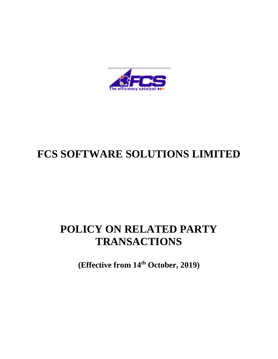

# **FCS SOFTWARE SOLUTIONS LIMITED**

# **POLICY ON RELATED PARTY TRANSACTIONS**

**(Effective from 14th October, 2019)**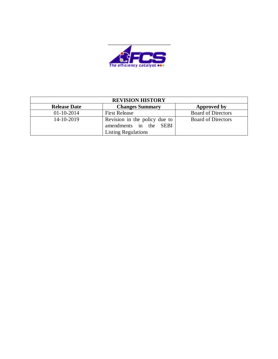

| <b>REVISION HISTORY</b> |                                                                                       |                           |  |
|-------------------------|---------------------------------------------------------------------------------------|---------------------------|--|
| <b>Release Date</b>     | <b>Changes Summary</b>                                                                | Approved by               |  |
| $01-10-2014$            | <b>First Release</b>                                                                  | <b>Board of Directors</b> |  |
| 14-10-2019              | Revision in the policy due to<br>amendments in the SEBI<br><b>Listing Regulations</b> | <b>Board of Directors</b> |  |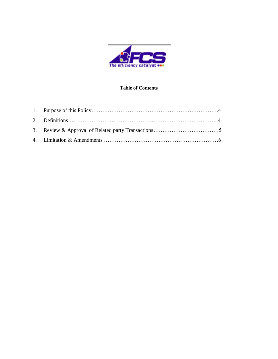

#### **Table of Contents**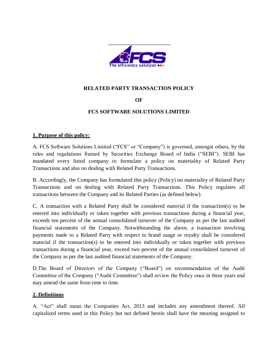

## **RELATED PARTY TRANSACTION POLICY**

## **OF**

## **FCS SOFTWARE SOLUTIONS LIMITED**

#### **1. Purpose of this policy:**

A. FCS Software Solutions Limited ("FCS" or "Company") is governed, amongst others, by the rules and regulations framed by Securities Exchange Board of India ("SEBI"). SEBI has mandated every listed company to formulate a policy on materiality of Related Party Transactions and also on dealing with Related Party Transactions.

B. Accordingly, the Company has formulated this policy (Policy) on materiality of Related Party Transactions and on dealing with Related Party Transactions. This Policy regulates all transactions between the Company and its Related Parties (as defined below).

C. A transaction with a Related Party shall be considered material if the transaction(s) to be entered into individually or taken together with previous transactions during a financial year, exceeds ten percent of the annual consolidated turnover of the Company as per the last audited financial statements of the Company. Notwithstanding the above, a transaction involving payments made to a Related Party with respect to brand usage or royalty shall be considered material if the transaction(s) to be entered into individually or taken together with previous transactions during a financial year, exceed two percent of the annual consolidated turnover of the Company as per the last audited financial statements of the Company.

D.The Board of Directors of the Company ("Board") on recommendation of the Audit Committee of the Company ("Audit Committee") shall review the Policy once in three years and may amend the same from time to time.

#### **2. Definitions**

A. "Act" shall mean the Companies Act, 2013 and includes any amendment thereof. All capitalized terms used in this Policy but not defined herein shall have the meaning assigned to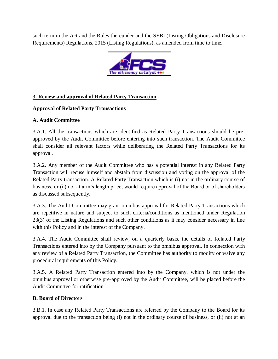such term in the Act and the Rules thereunder and the SEBI (Listing Obligations and Disclosure Requirements) Regulations, 2015 (Listing Regulations), as amended from time to time.



# **3. Review and approval of Related Party Transaction**

## **Approval of Related Party Transactions**

## **A. Audit Committee**

3.A.1. All the transactions which are identified as Related Party Transactions should be preapproved by the Audit Committee before entering into such transaction. The Audit Committee shall consider all relevant factors while deliberating the Related Party Transactions for its approval.

3.A.2. Any member of the Audit Committee who has a potential interest in any Related Party Transaction will recuse himself and abstain from discussion and voting on the approval of the Related Party transaction. A Related Party Transaction which is (i) not in the ordinary course of business, or (ii) not at arm's length price, would require approval of the Board or of shareholders as discussed subsequently.

3.A.3. The Audit Committee may grant omnibus approval for Related Party Transactions which are repetitive in nature and subject to such criteria/conditions as mentioned under Regulation 23(3) of the Listing Regulations and such other conditions as it may consider necessary in line with this Policy and in the interest of the Company.

3.A.4. The Audit Committee shall review, on a quarterly basis, the details of Related Party Transactions entered into by the Company pursuant to the omnibus approval. In connection with any review of a Related Party Transaction, the Committee has authority to modify or waive any procedural requirements of this Policy.

3.A.5. A Related Party Transaction entered into by the Company, which is not under the omnibus approval or otherwise pre-approved by the Audit Committee, will be placed before the Audit Committee for ratification.

### **B. Board of Directors**

3.B.1. In case any Related Party Transactions are referred by the Company to the Board for its approval due to the transaction being (i) not in the ordinary course of business, or (ii) not at an